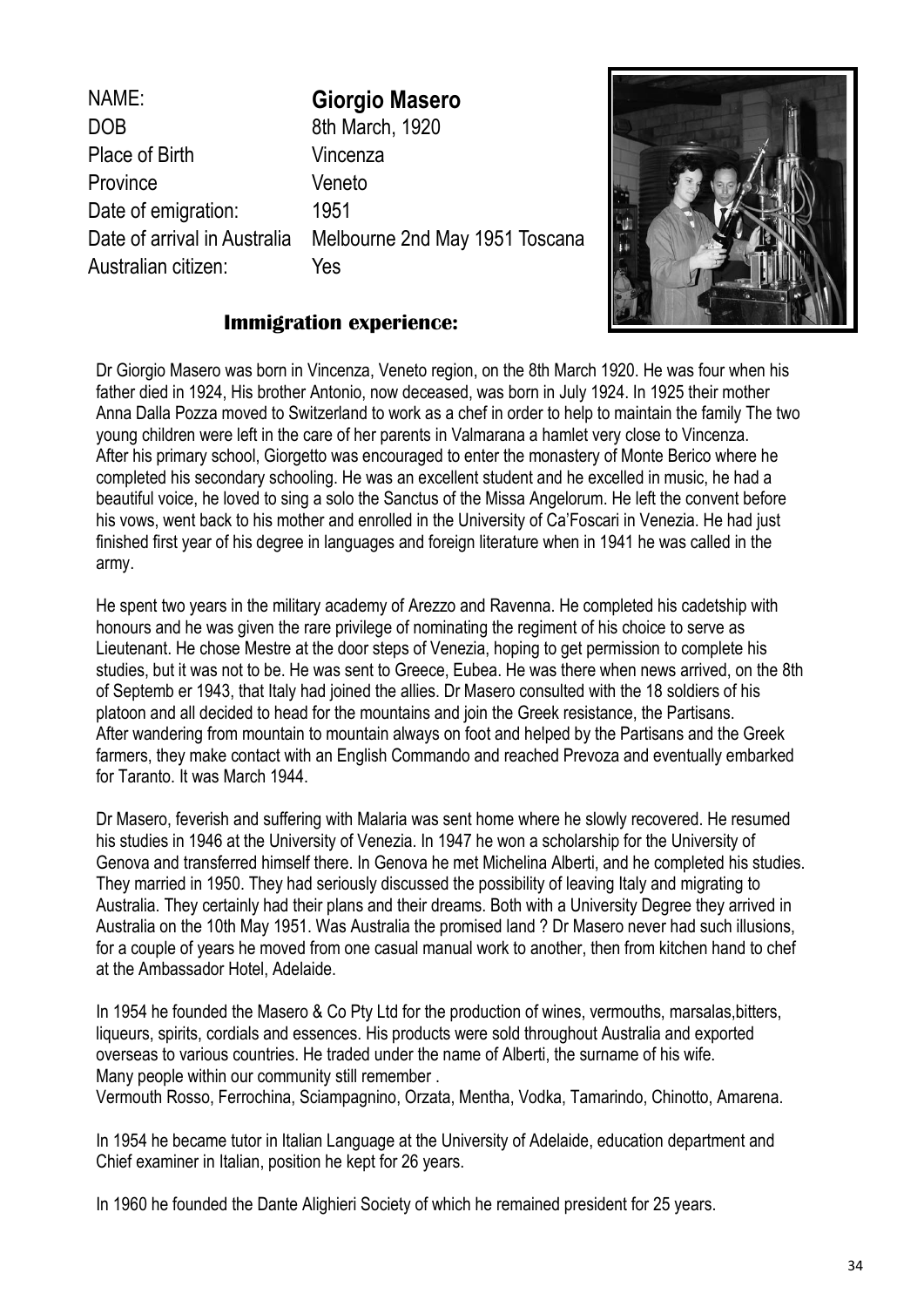NAME: **Giorgio Masero**  DOB 8th March, 1920 Place of Birth Vincenza Province Veneto Date of emigration: 1951 Australian citizen: Yes

Date of arrival in Australia Melbourne 2nd May 1951 Toscana



## **Immigration experience:**

Dr Giorgio Masero was born in Vincenza, Veneto region, on the 8th March 1920. He was four when his father died in 1924, His brother Antonio, now deceased, was born in July 1924. In 1925 their mother Anna Dalla Pozza moved to Switzerland to work as a chef in order to help to maintain the family The two young children were left in the care of her parents in Valmarana a hamlet very close to Vincenza. After his primary school, Giorgetto was encouraged to enter the monastery of Monte Berico where he completed his secondary schooling. He was an excellent student and he excelled in music, he had a beautiful voice, he loved to sing a solo the Sanctus of the Missa Angelorum. He left the convent before his vows, went back to his mother and enrolled in the University of Ca'Foscari in Venezia. He had just finished first year of his degree in languages and foreign literature when in 1941 he was called in the army.

He spent two years in the military academy of Arezzo and Ravenna. He completed his cadetship with honours and he was given the rare privilege of nominating the regiment of his choice to serve as Lieutenant. He chose Mestre at the door steps of Venezia, hoping to get permission to complete his studies, but it was not to be. He was sent to Greece, Eubea. He was there when news arrived, on the 8th of Septemb er 1943, that Italy had joined the allies. Dr Masero consulted with the 18 soldiers of his platoon and all decided to head for the mountains and join the Greek resistance, the Partisans. After wandering from mountain to mountain always on foot and helped by the Partisans and the Greek farmers, they make contact with an English Commando and reached Prevoza and eventually embarked for Taranto. It was March 1944.

Dr Masero, feverish and suffering with Malaria was sent home where he slowly recovered. He resumed his studies in 1946 at the University of Venezia. In 1947 he won a scholarship for the University of Genova and transferred himself there. In Genova he met Michelina Alberti, and he completed his studies. They married in 1950. They had seriously discussed the possibility of leaving Italy and migrating to Australia. They certainly had their plans and their dreams. Both with a University Degree they arrived in Australia on the 10th May 1951. Was Australia the promised land ? Dr Masero never had such illusions, for a couple of years he moved from one casual manual work to another, then from kitchen hand to chef at the Ambassador Hotel, Adelaide.

In 1954 he founded the Masero & Co Pty Ltd for the production of wines, vermouths, marsalas, bitters, liqueurs, spirits, cordials and essences. His products were sold throughout Australia and exported overseas to various countries. He traded under the name of Alberti, the surname of his wife. Many people within our community still remember .

Vermouth Rosso, Ferrochina, Sciampagnino, Orzata, Mentha, Vodka, Tamarindo, Chinotto, Amarena.

In 1954 he became tutor in Italian Language at the University of Adelaide, education department and Chief examiner in Italian, position he kept for 26 years.

In 1960 he founded the Dante Alighieri Society of which he remained president for 25 years.